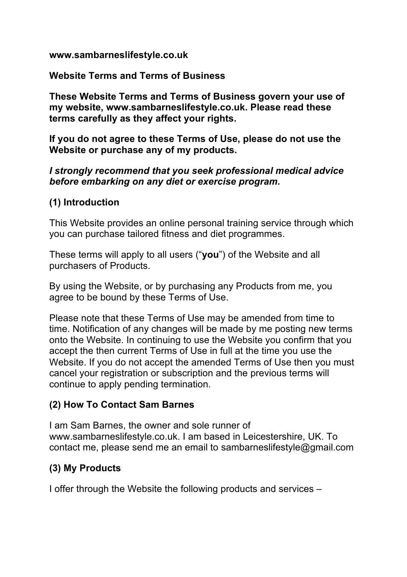#### **www.sambarneslifestyle.co.uk**

**Website Terms and Terms of Business** 

**These Website Terms and Terms of Business govern your use of my website, www.sambarneslifestyle.co.uk. Please read these terms carefully as they affect your rights.** 

**If you do not agree to these Terms of Use, please do not use the Website or purchase any of my products.** 

#### *I strongly recommend that you seek professional medical advice before embarking on any diet or exercise program.*

#### **(1) Introduction**

This Website provides an online personal training service through which you can purchase tailored fitness and diet programmes.

These terms will apply to all users ("**you**") of the Website and all purchasers of Products.

By using the Website, or by purchasing any Products from me, you agree to be bound by these Terms of Use.

Please note that these Terms of Use may be amended from time to time. Notification of any changes will be made by me posting new terms onto the Website. In continuing to use the Website you confirm that you accept the then current Terms of Use in full at the time you use the Website. If you do not accept the amended Terms of Use then you must cancel your registration or subscription and the previous terms will continue to apply pending termination.

### **(2) How To Contact Sam Barnes**

I am Sam Barnes, the owner and sole runner of www.sambarneslifestyle.co.uk. I am based in Leicestershire, UK. To contact me, please send me an email to sambarneslifestyle@gmail.com

### **(3) My Products**

I offer through the Website the following products and services –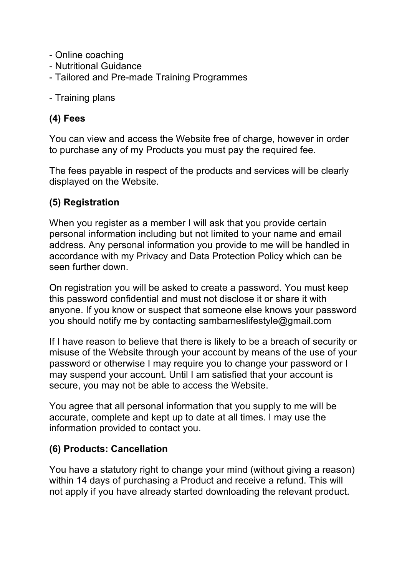- Online coaching
- Nutritional Guidance
- Tailored and Pre-made Training Programmes
- Training plans

#### **(4) Fees**

You can view and access the Website free of charge, however in order to purchase any of my Products you must pay the required fee.

The fees payable in respect of the products and services will be clearly displayed on the Website.

#### **(5) Registration**

When you register as a member I will ask that you provide certain personal information including but not limited to your name and email address. Any personal information you provide to me will be handled in accordance with my Privacy and Data Protection Policy which can be seen further down.

On registration you will be asked to create a password. You must keep this password confidential and must not disclose it or share it with anyone. If you know or suspect that someone else knows your password you should notify me by contacting sambarneslifestyle@gmail.com

If I have reason to believe that there is likely to be a breach of security or misuse of the Website through your account by means of the use of your password or otherwise I may require you to change your password or I may suspend your account. Until I am satisfied that your account is secure, you may not be able to access the Website.

You agree that all personal information that you supply to me will be accurate, complete and kept up to date at all times. I may use the information provided to contact you.

#### **(6) Products: Cancellation**

You have a statutory right to change your mind (without giving a reason) within 14 days of purchasing a Product and receive a refund. This will not apply if you have already started downloading the relevant product.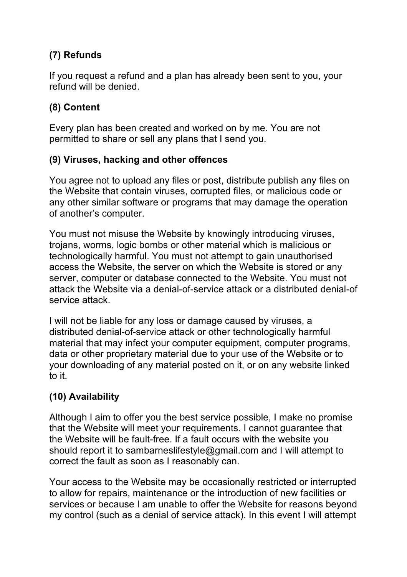# **(7) Refunds**

If you request a refund and a plan has already been sent to you, your refund will be denied.

## **(8) Content**

Every plan has been created and worked on by me. You are not permitted to share or sell any plans that I send you.

### **(9) Viruses, hacking and other offences**

You agree not to upload any files or post, distribute publish any files on the Website that contain viruses, corrupted files, or malicious code or any other similar software or programs that may damage the operation of another's computer.

You must not misuse the Website by knowingly introducing viruses, trojans, worms, logic bombs or other material which is malicious or technologically harmful. You must not attempt to gain unauthorised access the Website, the server on which the Website is stored or any server, computer or database connected to the Website. You must not attack the Website via a denial-of-service attack or a distributed denial-of service attack.

I will not be liable for any loss or damage caused by viruses, a distributed denial-of-service attack or other technologically harmful material that may infect your computer equipment, computer programs, data or other proprietary material due to your use of the Website or to your downloading of any material posted on it, or on any website linked to it.

### **(10) Availability**

Although I aim to offer you the best service possible, I make no promise that the Website will meet your requirements. I cannot guarantee that the Website will be fault-free. If a fault occurs with the website you should report it to sambarneslifestyle@gmail.com and I will attempt to correct the fault as soon as I reasonably can.

Your access to the Website may be occasionally restricted or interrupted to allow for repairs, maintenance or the introduction of new facilities or services or because I am unable to offer the Website for reasons beyond my control (such as a denial of service attack). In this event I will attempt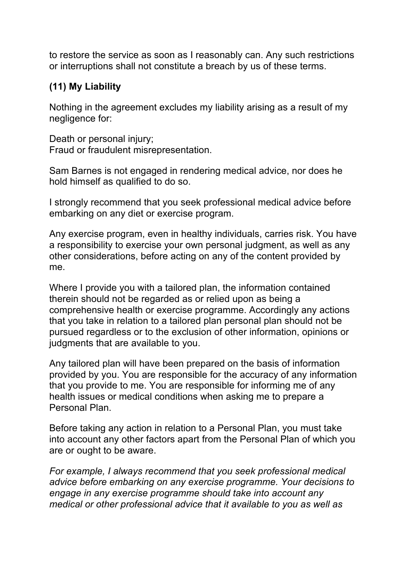to restore the service as soon as I reasonably can. Any such restrictions or interruptions shall not constitute a breach by us of these terms.

## **(11) My Liability**

Nothing in the agreement excludes my liability arising as a result of my negligence for:

Death or personal injury; Fraud or fraudulent misrepresentation.

Sam Barnes is not engaged in rendering medical advice, nor does he hold himself as qualified to do so.

I strongly recommend that you seek professional medical advice before embarking on any diet or exercise program.

Any exercise program, even in healthy individuals, carries risk. You have a responsibility to exercise your own personal judgment, as well as any other considerations, before acting on any of the content provided by me.

Where I provide you with a tailored plan, the information contained therein should not be regarded as or relied upon as being a comprehensive health or exercise programme. Accordingly any actions that you take in relation to a tailored plan personal plan should not be pursued regardless or to the exclusion of other information, opinions or judgments that are available to you.

Any tailored plan will have been prepared on the basis of information provided by you. You are responsible for the accuracy of any information that you provide to me. You are responsible for informing me of any health issues or medical conditions when asking me to prepare a Personal Plan.

Before taking any action in relation to a Personal Plan, you must take into account any other factors apart from the Personal Plan of which you are or ought to be aware.

*For example, I always recommend that you seek professional medical advice before embarking on any exercise programme. Your decisions to engage in any exercise programme should take into account any medical or other professional advice that it available to you as well as*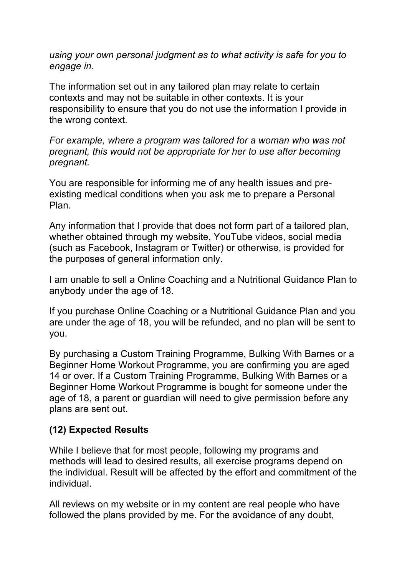*using your own personal judgment as to what activity is safe for you to engage in.* 

The information set out in any tailored plan may relate to certain contexts and may not be suitable in other contexts. It is your responsibility to ensure that you do not use the information I provide in the wrong context.

*For example, where a program was tailored for a woman who was not pregnant, this would not be appropriate for her to use after becoming pregnant.* 

You are responsible for informing me of any health issues and preexisting medical conditions when you ask me to prepare a Personal Plan.

Any information that I provide that does not form part of a tailored plan, whether obtained through my website, YouTube videos, social media (such as Facebook, Instagram or Twitter) or otherwise, is provided for the purposes of general information only.

I am unable to sell a Online Coaching and a Nutritional Guidance Plan to anybody under the age of 18.

If you purchase Online Coaching or a Nutritional Guidance Plan and you are under the age of 18, you will be refunded, and no plan will be sent to you.

By purchasing a Custom Training Programme, Bulking With Barnes or a Beginner Home Workout Programme, you are confirming you are aged 14 or over. If a Custom Training Programme, Bulking With Barnes or a Beginner Home Workout Programme is bought for someone under the age of 18, a parent or guardian will need to give permission before any plans are sent out.

### **(12) Expected Results**

While I believe that for most people, following my programs and methods will lead to desired results, all exercise programs depend on the individual. Result will be affected by the effort and commitment of the individual.

All reviews on my website or in my content are real people who have followed the plans provided by me. For the avoidance of any doubt,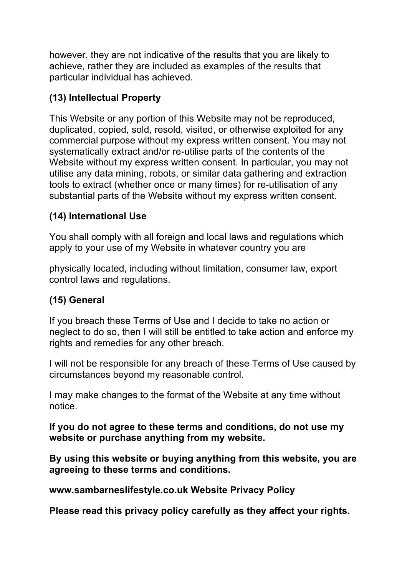however, they are not indicative of the results that you are likely to achieve, rather they are included as examples of the results that particular individual has achieved.

# **(13) Intellectual Property**

This Website or any portion of this Website may not be reproduced, duplicated, copied, sold, resold, visited, or otherwise exploited for any commercial purpose without my express written consent. You may not systematically extract and/or re-utilise parts of the contents of the Website without my express written consent. In particular, you may not utilise any data mining, robots, or similar data gathering and extraction tools to extract (whether once or many times) for re-utilisation of any substantial parts of the Website without my express written consent.

## **(14) International Use**

You shall comply with all foreign and local laws and regulations which apply to your use of my Website in whatever country you are

physically located, including without limitation, consumer law, export control laws and regulations.

## **(15) General**

If you breach these Terms of Use and I decide to take no action or neglect to do so, then I will still be entitled to take action and enforce my rights and remedies for any other breach.

I will not be responsible for any breach of these Terms of Use caused by circumstances beyond my reasonable control.

I may make changes to the format of the Website at any time without notice.

**If you do not agree to these terms and conditions, do not use my website or purchase anything from my website.** 

**By using this website or buying anything from this website, you are agreeing to these terms and conditions.** 

**www.sambarneslifestyle.co.uk Website Privacy Policy** 

**Please read this privacy policy carefully as they affect your rights.**